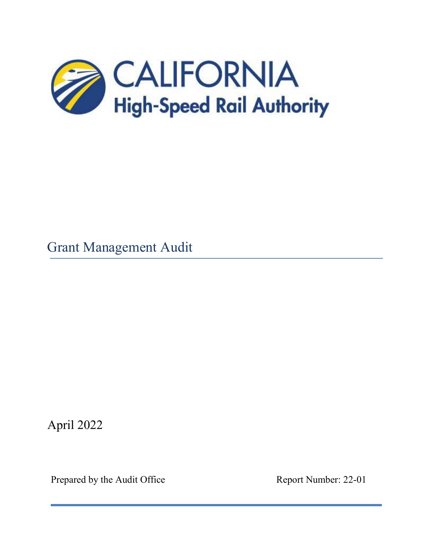

Grant Management Audit

April 2022

Prepared by the Audit Office Report Number: 22-01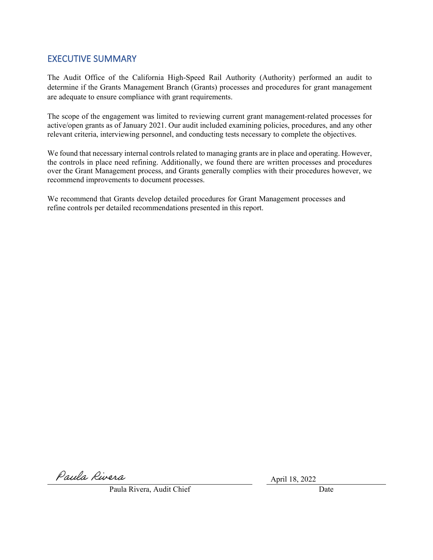# EXECUTIVE SUMMARY

The Audit Office of the California High-Speed Rail Authority (Authority) performed an audit to determine if the Grants Management Branch (Grants) processes and procedures for grant management are adequate to ensure compliance with grant requirements.

The scope of the engagement was limited to reviewing current grant management-related processes for active/open grants as of January 2021. Our audit included examining policies, procedures, and any other relevant criteria, interviewing personnel, and conducting tests necessary to complete the objectives.

We found that necessary internal controls related to managing grants are in place and operating. However, the controls in place need refining. Additionally, we found there are written processes and procedures over the Grant Management process, and Grants generally complies with their procedures however, we recommend improvements to document processes.

We recommend that Grants develop detailed procedures for Grant Management processes and refine controls per detailed recommendations presented in this report.

Paula Rivera

April 18, 2022

Paula Rivera, Audit Chief **Date** Date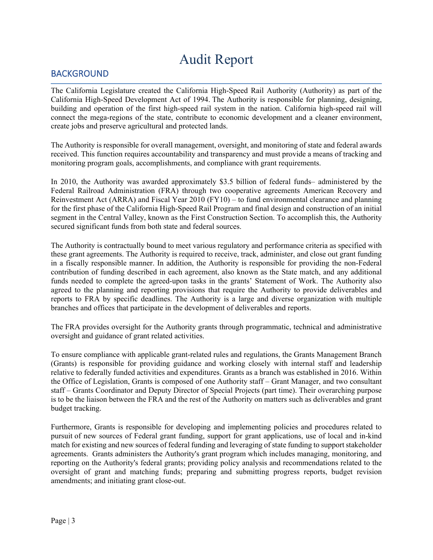# Audit Report

# BACKGROUND

The California Legislature created the California High-Speed Rail Authority (Authority) as part of the California High-Speed Development Act of 1994. The Authority is responsible for planning, designing, building and operation of the first high-speed rail system in the nation. California high-speed rail will connect the mega-regions of the state, contribute to economic development and a cleaner environment, create jobs and preserve agricultural and protected lands.

The Authority is responsible for overall management, oversight, and monitoring of state and federal awards received. This function requires accountability and transparency and must provide a means of tracking and monitoring program goals, accomplishments, and compliance with grant requirements.

In 2010, the Authority was awarded approximately \$3.5 billion of federal funds– administered by the Federal Railroad Administration (FRA) through two cooperative agreements American Recovery and Reinvestment Act (ARRA) and Fiscal Year 2010 (FY10) – to fund environmental clearance and planning for the first phase of the California High-Speed Rail Program and final design and construction of an initial segment in the Central Valley, known as the First Construction Section. To accomplish this, the Authority secured significant funds from both state and federal sources.

The Authority is contractually bound to meet various regulatory and performance criteria as specified with these grant agreements. The Authority is required to receive, track, administer, and close out grant funding in a fiscally responsible manner. In addition, the Authority is responsible for providing the non-Federal contribution of funding described in each agreement, also known as the State match, and any additional funds needed to complete the agreed-upon tasks in the grants' Statement of Work. The Authority also agreed to the planning and reporting provisions that require the Authority to provide deliverables and reports to FRA by specific deadlines. The Authority is a large and diverse organization with multiple branches and offices that participate in the development of deliverables and reports.

The FRA provides oversight for the Authority grants through programmatic, technical and administrative oversight and guidance of grant related activities.

To ensure compliance with applicable grant-related rules and regulations, the Grants Management Branch (Grants) is responsible for providing guidance and working closely with internal staff and leadership relative to federally funded activities and expenditures. Grants as a branch was established in 2016. Within the Office of Legislation, Grants is composed of one Authority staff – Grant Manager, and two consultant staff – Grants Coordinator and Deputy Director of Special Projects (part time). Their overarching purpose is to be the liaison between the FRA and the rest of the Authority on matters such as deliverables and grant budget tracking.

Furthermore, Grants is responsible for developing and implementing policies and procedures related to pursuit of new sources of Federal grant funding, support for grant applications, use of local and in-kind match for existing and new sources of federal funding and leveraging of state funding to support stakeholder agreements. Grants administers the Authority's grant program which includes managing, monitoring, and reporting on the Authority's federal grants; providing policy analysis and recommendations related to the oversight of grant and matching funds; preparing and submitting progress reports, budget revision amendments; and initiating grant close-out.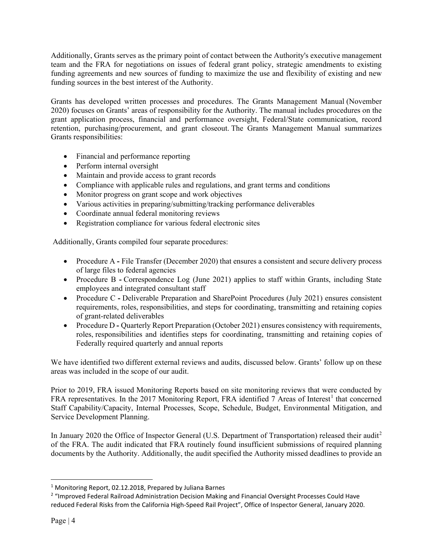Additionally, Grants serves as the primary point of contact between the Authority's executive management team and the FRA for negotiations on issues of federal grant policy, strategic amendments to existing funding agreements and new sources of funding to maximize the use and flexibility of existing and new funding sources in the best interest of the Authority.

Grants has developed written processes and procedures. The Grants Management Manual (November 2020) focuses on Grants' areas of responsibility for the Authority. The manual includes procedures on the grant application process, financial and performance oversight, Federal/State communication, record retention, purchasing/procurement, and grant closeout. The Grants Management Manual summarizes Grants responsibilities:

- Financial and performance reporting
- Perform internal oversight
- Maintain and provide access to grant records
- Compliance with applicable rules and regulations, and grant terms and conditions
- Monitor progress on grant scope and work objectives
- Various activities in preparing/submitting/tracking performance deliverables
- Coordinate annual federal monitoring reviews
- Registration compliance for various federal electronic sites

Additionally, Grants compiled four separate procedures:

- Procedure A File Transfer (December 2020) that ensures a consistent and secure delivery process of large files to federal agencies
- Procedure B **-** Correspondence Log (June 2021) applies to staff within Grants, including State employees and integrated consultant staff
- Procedure C Deliverable Preparation and SharePoint Procedures (July 2021) ensures consistent requirements, roles, responsibilities, and steps for coordinating, transmitting and retaining copies of grant-related deliverables
- Procedure D Quarterly Report Preparation (October 2021) ensures consistency with requirements, roles, responsibilities and identifies steps for coordinating, transmitting and retaining copies of Federally required quarterly and annual reports

We have identified two different external reviews and audits, discussed below. Grants' follow up on these areas was included in the scope of our audit.

Prior to 2019, FRA issued Monitoring Reports based on site monitoring reviews that were conducted by FRA representatives. In the 20[1](#page-3-0)7 Monitoring Report, FRA identified  $7$  Areas of Interest<sup>1</sup> that concerned Staff Capability/Capacity, Internal Processes, Scope, Schedule, Budget, Environmental Mitigation, and Service Development Planning.

In January [2](#page-3-1)020 the Office of Inspector General (U.S. Department of Transportation) released their audit<sup>2</sup> of the FRA. The audit indicated that FRA routinely found insufficient submissions of required planning documents by the Authority. Additionally, the audit specified the Authority missed deadlines to provide an

<span id="page-3-0"></span> $1$  Monitoring Report, 02.12.2018, Prepared by Juliana Barnes

<span id="page-3-1"></span><sup>2</sup> "Improved Federal Railroad Administration Decision Making and Financial Oversight Processes Could Have reduced Federal Risks from the California High-Speed Rail Project", Office of Inspector General, January 2020.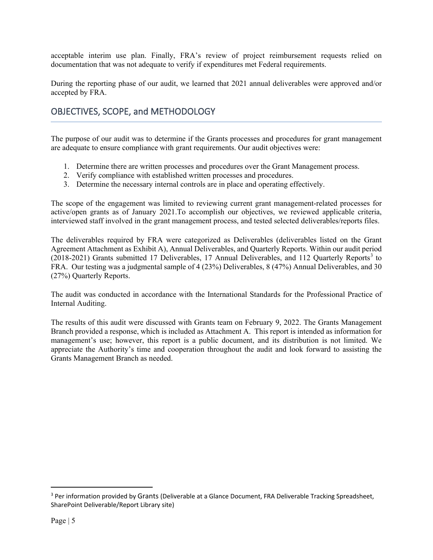acceptable interim use plan. Finally, FRA's review of project reimbursement requests relied on documentation that was not adequate to verify if expenditures met Federal requirements.

During the reporting phase of our audit, we learned that 2021 annual deliverables were approved and/or accepted by FRA.

# OBJECTIVES, SCOPE, and METHODOLOGY

The purpose of our audit was to determine if the Grants processes and procedures for grant management are adequate to ensure compliance with grant requirements. Our audit objectives were:

- 1. Determine there are written processes and procedures over the Grant Management process.
- 2. Verify compliance with established written processes and procedures.
- 3. Determine the necessary internal controls are in place and operating effectively.

The scope of the engagement was limited to reviewing current grant management-related processes for active/open grants as of January 2021.To accomplish our objectives, we reviewed applicable criteria, interviewed staff involved in the grant management process, and tested selected deliverables/reports files.

The deliverables required by FRA were categorized as Deliverables (deliverables listed on the Grant Agreement Attachment as Exhibit A), Annual Deliverables, and Quarterly Reports. Within our audit period (2018-2021) Grants submitted 17 Deliverables, 17 Annual Deliverables, and 112 Quarterly Reports<sup>[3](#page-4-0)</sup> to FRA. Our testing was a judgmental sample of 4 (23%) Deliverables, 8 (47%) Annual Deliverables, and 30 (27%) Quarterly Reports.

The audit was conducted in accordance with the International Standards for the Professional Practice of Internal Auditing.

The results of this audit were discussed with Grants team on February 9, 2022. The Grants Management Branch provided a response, which is included as Attachment A. This report is intended as information for management's use; however, this report is a public document, and its distribution is not limited. We appreciate the Authority's time and cooperation throughout the audit and look forward to assisting the Grants Management Branch as needed.

<span id="page-4-0"></span><sup>&</sup>lt;sup>3</sup> Per information provided by Grants (Deliverable at a Glance Document, FRA Deliverable Tracking Spreadsheet, SharePoint Deliverable/Report Library site)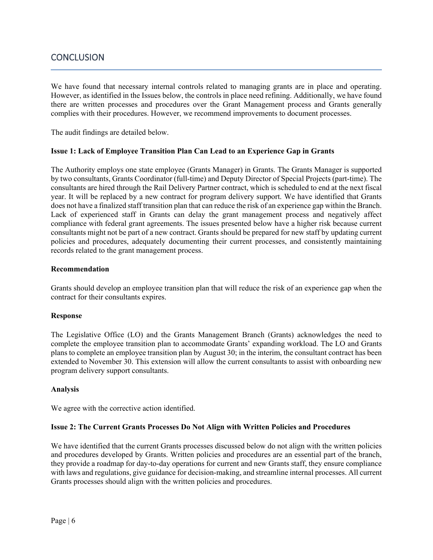# **CONCLUSION**

We have found that necessary internal controls related to managing grants are in place and operating. However, as identified in the Issues below, the controls in place need refining. Additionally, we have found there are written processes and procedures over the Grant Management process and Grants generally complies with their procedures. However, we recommend improvements to document processes.

The audit findings are detailed below.

# **Issue 1: Lack of Employee Transition Plan Can Lead to an Experience Gap in Grants**

The Authority employs one state employee (Grants Manager) in Grants. The Grants Manager is supported by two consultants, Grants Coordinator (full-time) and Deputy Director of Special Projects (part-time). The consultants are hired through the Rail Delivery Partner contract, which is scheduled to end at the next fiscal year. It will be replaced by a new contract for program delivery support. We have identified that Grants does not have a finalized staff transition plan that can reduce the risk of an experience gap within the Branch. Lack of experienced staff in Grants can delay the grant management process and negatively affect compliance with federal grant agreements. The issues presented below have a higher risk because current consultants might not be part of a new contract. Grants should be prepared for new staff by updating current policies and procedures, adequately documenting their current processes, and consistently maintaining records related to the grant management process.

## **Recommendation**

Grants should develop an employee transition plan that will reduce the risk of an experience gap when the contract for their consultants expires.

#### **Response**

The Legislative Office (LO) and the Grants Management Branch (Grants) acknowledges the need to complete the employee transition plan to accommodate Grants' expanding workload. The LO and Grants plans to complete an employee transition plan by August 30; in the interim, the consultant contract has been extended to November 30. This extension will allow the current consultants to assist with onboarding new program delivery support consultants.

#### **Analysis**

We agree with the corrective action identified.

#### **Issue 2: The Current Grants Processes Do Not Align with Written Policies and Procedures**

We have identified that the current Grants processes discussed below do not align with the written policies and procedures developed by Grants. Written policies and procedures are an essential part of the branch, they provide a roadmap for day-to-day operations for current and new Grants staff, they ensure compliance with laws and regulations, give guidance for decision-making, and streamline internal processes. All current Grants processes should align with the written policies and procedures.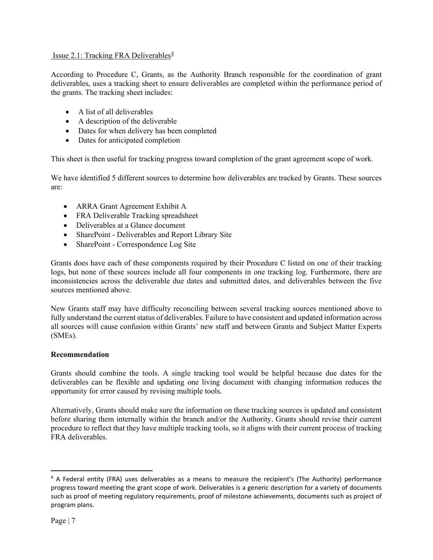# Issue 2.1: Tracking FRA Deliverables<sup> $4$ </sup>

According to Procedure C, Grants, as the Authority Branch responsible for the coordination of grant deliverables, uses a tracking sheet to ensure deliverables are completed within the performance period of the grants. The tracking sheet includes:

- A list of all deliverables
- A description of the deliverable
- Dates for when delivery has been completed
- Dates for anticipated completion

This sheet is then useful for tracking progress toward completion of the grant agreement scope of work.

We have identified 5 different sources to determine how deliverables are tracked by Grants. These sources are:

- ARRA Grant Agreement Exhibit A
- FRA Deliverable Tracking spreadsheet
- Deliverables at a Glance document
- SharePoint Deliverables and Report Library Site
- SharePoint Correspondence Log Site

Grants does have each of these components required by their Procedure C listed on one of their tracking logs, but none of these sources include all four components in one tracking log. Furthermore, there are inconsistencies across the deliverable due dates and submitted dates, and deliverables between the five sources mentioned above.

New Grants staff may have difficulty reconciling between several tracking sources mentioned above to fully understand the current status of deliverables. Failure to have consistent and updated information across all sources will cause confusion within Grants' new staff and between Grants and Subject Matter Experts (SMEs).

# **Recommendation**

Grants should combine the tools. A single tracking tool would be helpful because due dates for the deliverables can be flexible and updating one living document with changing information reduces the opportunity for error caused by revising multiple tools.

Alternatively, Grants should make sure the information on these tracking sources is updated and consistent before sharing them internally within the branch and/or the Authority. Grants should revise their current procedure to reflect that they have multiple tracking tools, so it aligns with their current process of tracking FRA deliverables.

<span id="page-6-0"></span><sup>4</sup> A Federal entity (FRA) uses deliverables as a means to measure the recipient's (The Authority) performance progress toward meeting the grant scope of work. Deliverables is a generic description for a variety of documents such as proof of meeting regulatory requirements, proof of milestone achievements, documents such as project of program plans.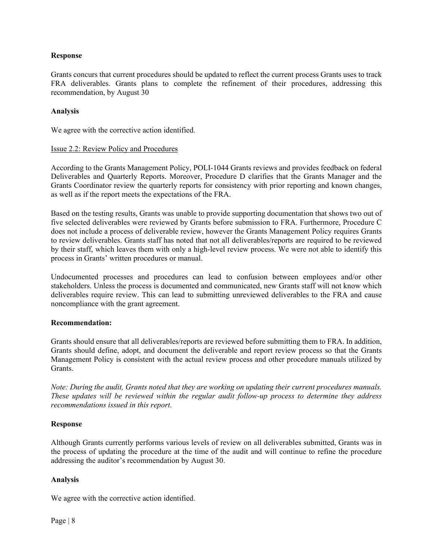# **Response**

Grants concurs that current procedures should be updated to reflect the current process Grants uses to track FRA deliverables. Grants plans to complete the refinement of their procedures, addressing this recommendation, by August 30

## **Analysis**

We agree with the corrective action identified.

## Issue 2.2: Review Policy and Procedures

According to the Grants Management Policy, POLI-1044 Grants reviews and provides feedback on federal Deliverables and Quarterly Reports. Moreover, Procedure D clarifies that the Grants Manager and the Grants Coordinator review the quarterly reports for consistency with prior reporting and known changes, as well as if the report meets the expectations of the FRA.

Based on the testing results, Grants was unable to provide supporting documentation that shows two out of five selected deliverables were reviewed by Grants before submission to FRA. Furthermore, Procedure C does not include a process of deliverable review, however the Grants Management Policy requires Grants to review deliverables. Grants staff has noted that not all deliverables/reports are required to be reviewed by their staff, which leaves them with only a high-level review process. We were not able to identify this process in Grants' written procedures or manual.

Undocumented processes and procedures can lead to confusion between employees and/or other stakeholders. Unless the process is documented and communicated, new Grants staff will not know which deliverables require review. This can lead to submitting unreviewed deliverables to the FRA and cause noncompliance with the grant agreement.

# **Recommendation:**

Grants should ensure that all deliverables/reports are reviewed before submitting them to FRA. In addition, Grants should define, adopt, and document the deliverable and report review process so that the Grants Management Policy is consistent with the actual review process and other procedure manuals utilized by Grants.

*Note: During the audit, Grants noted that they are working on updating their current procedures manuals. These updates will be reviewed within the regular audit follow-up process to determine they address recommendations issued in this report.*

#### **Response**

Although Grants currently performs various levels of review on all deliverables submitted, Grants was in the process of updating the procedure at the time of the audit and will continue to refine the procedure addressing the auditor's recommendation by August 30.

# **Analysis**

We agree with the corrective action identified.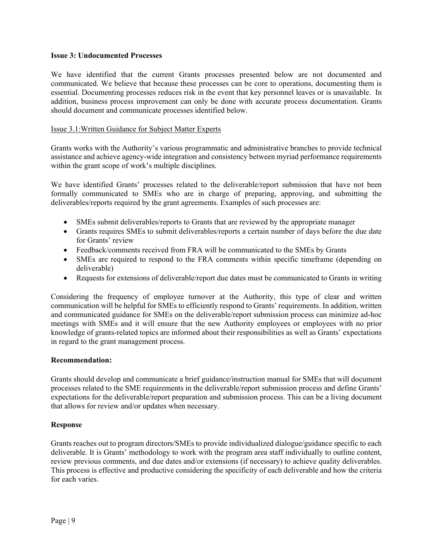## **Issue 3: Undocumented Processes**

We have identified that the current Grants processes presented below are not documented and communicated. We believe that because these processes can be core to operations, documenting them is essential. Documenting processes reduces risk in the event that key personnel leaves or is unavailable. In addition, business process improvement can only be done with accurate process documentation. Grants should document and communicate processes identified below.

# Issue 3.1[:Written Guidance for S](https://californiahigh-speedrailauthoritychsraca.projects.highbond.com/audits/157114/findings/537214)ubject Matter Experts

Grants works with the Authority's various programmatic and administrative branches to provide technical assistance and achieve agency-wide integration and consistency between myriad performance requirements within the grant scope of work's multiple disciplines.

We have identified Grants' processes related to the deliverable/report submission that have not been formally communicated to SMEs who are in charge of preparing, approving, and submitting the deliverables/reports required by the grant agreements. Examples of such processes are:

- SMEs submit deliverables/reports to Grants that are reviewed by the appropriate manager
- Grants requires SMEs to submit deliverables/reports a certain number of days before the due date for Grants' review
- Feedback/comments received from FRA will be communicated to the SMEs by Grants
- SMEs are required to respond to the FRA comments within specific timeframe (depending on deliverable)
- Requests for extensions of deliverable/report due dates must be communicated to Grants in writing

Considering the frequency of employee turnover at the Authority, this type of clear and written communication will be helpful for SMEs to efficiently respond to Grants' requirements. In addition, written and communicated guidance for SMEs on the deliverable/report submission process can minimize ad-hoc meetings with SMEs and it will ensure that the new Authority employees or employees with no prior knowledge of grants-related topics are informed about their responsibilities as well as Grants' expectations in regard to the grant management process.

# **Recommendation:**

Grants should develop and communicate a brief guidance/instruction manual for SMEs that will document processes related to the SME requirements in the deliverable/report submission process and define Grants' expectations for the deliverable/report preparation and submission process. This can be a living document that allows for review and/or updates when necessary.

# **Response**

Grants reaches out to program directors/SMEs to provide individualized dialogue/guidance specific to each deliverable. It is Grants' methodology to work with the program area staff individually to outline content, review previous comments, and due dates and/or extensions (if necessary) to achieve quality deliverables. This process is effective and productive considering the specificity of each deliverable and how the criteria for each varies.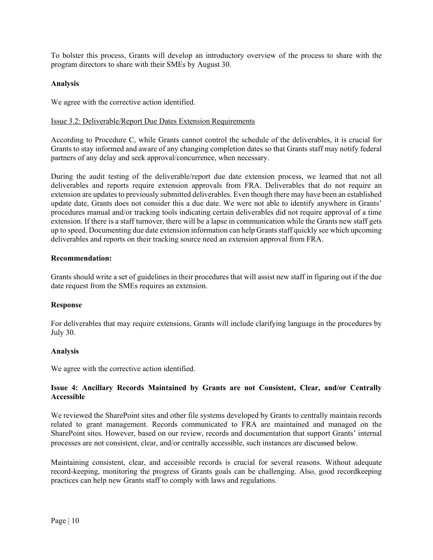To bolster this process, Grants will develop an introductory overview of the process to share with the program directors to share with their SMEs by August 30.

# **Analysis**

We agree with the corrective action identified.

# Issue 3.2: Deliverable/Report Due Dates Extension Requirements

According to Procedure C, while Grants cannot control the schedule of the deliverables, it is crucial for Grants to stay informed and aware of any changing completion dates so that Grants staff may notify federal partners of any delay and seek approval/concurrence, when necessary.

During the audit testing of the deliverable/report due date extension process, we learned that not all deliverables and reports require extension approvals from FRA. Deliverables that do not require an extension are updates to previously submitted deliverables. Even though there may have been an established update date, Grants does not consider this a due date. We were not able to identify anywhere in Grants' procedures manual and/or tracking tools indicating certain deliverables did not require approval of a time extension. If there is a staff turnover, there will be a lapse in communication while the Grants new staff gets up to speed. Documenting due date extension information can help Grantsstaff quickly see which upcoming deliverables and reports on their tracking source need an extension approval from FRA.

# **Recommendation:**

Grants should write a set of guidelines in their procedures that will assist new staff in figuring out if the due date request from the SMEs requires an extension.

# **Response**

For deliverables that may require extensions, Grants will include clarifying language in the procedures by July 30.

# **Analysis**

We agree with the corrective action identified.

# **Issue 4: Ancillary Records Maintained by Grants are not Consistent, Clear, and/or Centrally Accessible**

We reviewed the SharePoint sites and other file systems developed by Grants to centrally maintain records related to grant management. Records communicated to FRA are maintained and managed on the SharePoint sites. However, based on our review, records and documentation that support Grants' internal processes are not consistent, clear, and/or centrally accessible, such instances are discussed below.

Maintaining consistent, clear, and accessible records is crucial for several reasons. Without adequate record-keeping, monitoring the progress of Grants goals can be challenging. Also, good recordkeeping practices can help new Grants staff to comply with laws and regulations.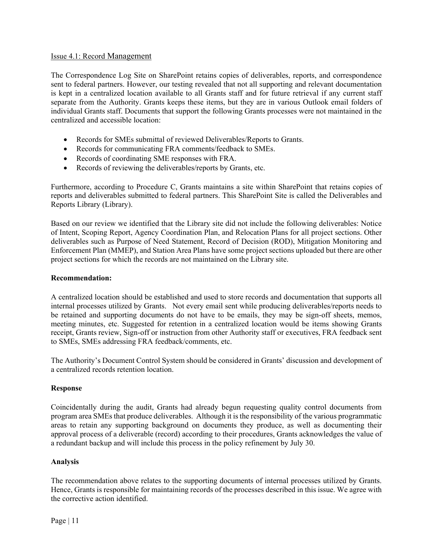# Issue 4.1: Record Management

The Correspondence Log Site on SharePoint retains copies of deliverables, reports, and correspondence sent to federal partners. However, our testing revealed that not all supporting and relevant documentation is kept in a centralized location available to all Grants staff and for future retrieval if any current staff separate from the Authority. Grants keeps these items, but they are in various Outlook email folders of individual Grants staff. Documents that support the following Grants processes were not maintained in the centralized and accessible location:

- Records for SMEs submittal of reviewed Deliverables/Reports to Grants.
- Records for communicating FRA comments/feedback to SMEs.
- Records of coordinating SME responses with FRA.
- Records of reviewing the deliverables/reports by Grants, etc.

Furthermore, according to Procedure C, Grants maintains a site within SharePoint that retains copies of reports and deliverables submitted to federal partners. This SharePoint Site is called the Deliverables and Reports Library (Library).

Based on our review we identified that the Library site did not include the following deliverables: Notice of Intent, Scoping Report, Agency Coordination Plan, and Relocation Plans for all project sections. Other deliverables such as Purpose of Need Statement, Record of Decision (ROD), Mitigation Monitoring and Enforcement Plan (MMEP), and Station Area Plans have some project sections uploaded but there are other project sections for which the records are not maintained on the Library site.

## **Recommendation:**

A centralized location should be established and used to store records and documentation that supports all internal processes utilized by Grants. Not every email sent while producing deliverables/reports needs to be retained and supporting documents do not have to be emails, they may be sign-off sheets, memos, meeting minutes, etc. Suggested for retention in a centralized location would be items showing Grants receipt, Grants review, Sign-off or instruction from other Authority staff or executives, FRA feedback sent to SMEs, SMEs addressing FRA feedback/comments, etc.

The Authority's Document Control System should be considered in Grants' discussion and development of a centralized records retention location.

#### **Response**

Coincidentally during the audit, Grants had already begun requesting quality control documents from program area SMEs that produce deliverables. Although it is the responsibility of the various programmatic areas to retain any supporting background on documents they produce, as well as documenting their approval process of a deliverable (record) according to their procedures, Grants acknowledges the value of a redundant backup and will include this process in the policy refinement by July 30.

#### **Analysis**

The recommendation above relates to the supporting documents of internal processes utilized by Grants. Hence, Grants is responsible for maintaining records of the processes described in this issue. We agree with the corrective action identified.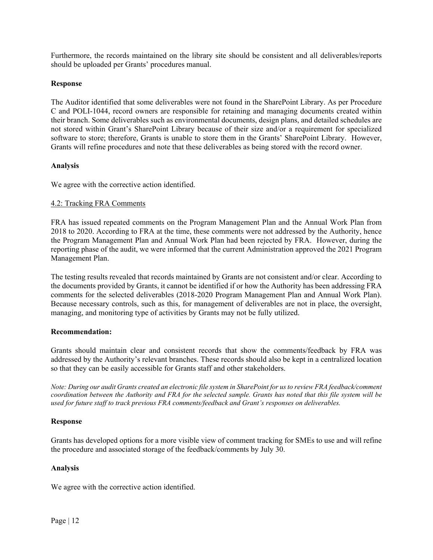Furthermore, the records maintained on the library site should be consistent and all deliverables/reports should be uploaded per Grants' procedures manual.

# **Response**

The Auditor identified that some deliverables were not found in the SharePoint Library. As per Procedure C and POLI-1044, record owners are responsible for retaining and managing documents created within their branch. Some deliverables such as environmental documents, design plans, and detailed schedules are not stored within Grant's SharePoint Library because of their size and/or a requirement for specialized software to store; therefore, Grants is unable to store them in the Grants' SharePoint Library. However, Grants will refine procedures and note that these deliverables as being stored with the record owner.

# **Analysis**

We agree with the corrective action identified.

# 4.2: Tracking FRA Comments

FRA has issued repeated comments on the Program Management Plan and the Annual Work Plan from 2018 to 2020. According to FRA at the time, these comments were not addressed by the Authority, hence the Program Management Plan and Annual Work Plan had been rejected by FRA. However, during the reporting phase of the audit, we were informed that the current Administration approved the 2021 Program Management Plan.

The testing results revealed that records maintained by Grants are not consistent and/or clear. According to the documents provided by Grants, it cannot be identified if or how the Authority has been addressing FRA comments for the selected deliverables (2018-2020 Program Management Plan and Annual Work Plan). Because necessary controls, such as this, for management of deliverables are not in place, the oversight, managing, and monitoring type of activities by Grants may not be fully utilized.

# **Recommendation:**

Grants should maintain clear and consistent records that show the comments/feedback by FRA was addressed by the Authority's relevant branches. These records should also be kept in a centralized location so that they can be easily accessible for Grants staff and other stakeholders.

*Note: During our audit Grants created an electronic file system in SharePoint for us to review FRA feedback/comment coordination between the Authority and FRA for the selected sample. Grants has noted that this file system will be used for future staff to track previous FRA comments/feedback and Grant's responses on deliverables.* 

# **Response**

Grants has developed options for a more visible view of comment tracking for SMEs to use and will refine the procedure and associated storage of the feedback/comments by July 30.

# **Analysis**

We agree with the corrective action identified.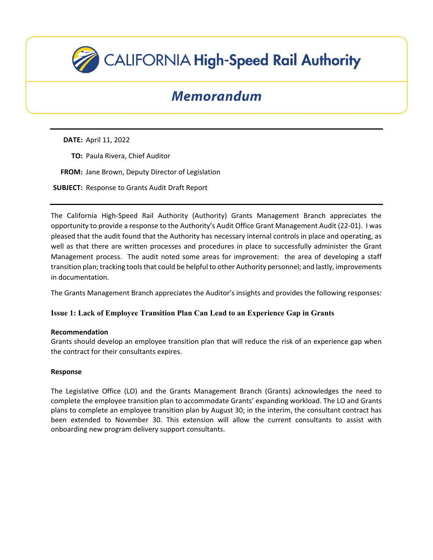

# Memorandum

**DATE:** April 11, 2022

- **TO:** Paula Rivera, Chief Auditor
- **FROM:** Jane Brown, Deputy Director of Legislation

**SUBJECT:** Response to Grants Audit Draft Report

The California High-Speed Rail Authority (Authority) Grants Management Branch appreciates the opportunity to provide a response to the Authority's Audit Office Grant Management Audit (22-01). I was pleased that the audit found that the Authority has necessary internal controls in place and operating, as well as that there are written processes and procedures in place to successfully administer the Grant Management process. The audit noted some areas for improvement: the area of developing a staff transition plan; tracking tools that could be helpful to other Authority personnel; and lastly, improvements in documentation.

The Grants Management Branch appreciates the Auditor's insights and provides the following responses:

# **Issue 1: Lack of Employee Transition Plan Can Lead to an Experience Gap in Grants**

# **Recommendation**

Grants should develop an employee transition plan that will reduce the risk of an experience gap when the contract for their consultants expires.

# **Response**

The Legislative Office (LO) and the Grants Management Branch (Grants) acknowledges the need to complete the employee transition plan to accommodate Grants' expanding workload. The LO and Grants plans to complete an employee transition plan by August 30; in the interim, the consultant contract has been extended to November 30. This extension will allow the current consultants to assist with onboarding new program delivery support consultants.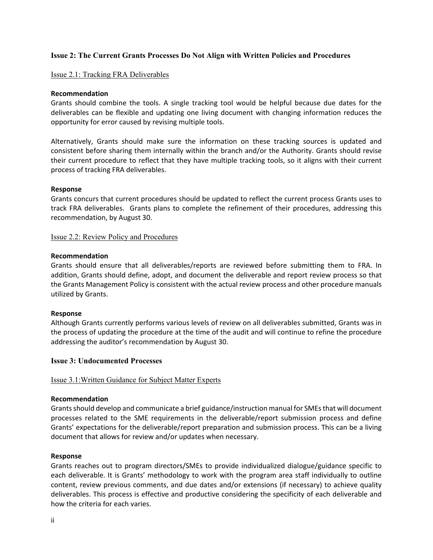# **Issue 2: The Current Grants Processes Do Not Align with Written Policies and Procedures**

#### Issue 2.1: Tracking FRA Deliverables

#### **Recommendation**

Grants should combine the tools. A single tracking tool would be helpful because due dates for the deliverables can be flexible and updating one living document with changing information reduces the opportunity for error caused by revising multiple tools.

Alternatively, Grants should make sure the information on these tracking sources is updated and consistent before sharing them internally within the branch and/or the Authority. Grants should revise their current procedure to reflect that they have multiple tracking tools, so it aligns with their current process of tracking FRA deliverables.

#### **Response**

Grants concurs that current procedures should be updated to reflect the current process Grants uses to track FRA deliverables. Grants plans to complete the refinement of their procedures, addressing this recommendation, by August 30.

#### Issue 2.2: Review Policy and Procedures

#### **Recommendation**

Grants should ensure that all deliverables/reports are reviewed before submitting them to FRA. In addition, Grants should define, adopt, and document the deliverable and report review process so that the Grants Management Policy is consistent with the actual review process and other procedure manuals utilized by Grants.

#### **Response**

Although Grants currently performs various levels of review on all deliverables submitted, Grants was in the process of updating the procedure at the time of the audit and will continue to refine the procedure addressing the auditor's recommendation by August 30.

## **Issue 3: Undocumented Processes**

#### Issue 3.1[:Written Guidance for S](https://californiahigh-speedrailauthoritychsraca.projects.highbond.com/audits/157114/findings/537214)ubject Matter Experts

#### **Recommendation**

Grants should develop and communicate a brief guidance/instruction manual for SMEs that will document processes related to the SME requirements in the deliverable/report submission process and define Grants' expectations for the deliverable/report preparation and submission process. This can be a living document that allows for review and/or updates when necessary.

#### **Response**

Grants reaches out to program directors/SMEs to provide individualized dialogue/guidance specific to each deliverable. It is Grants' methodology to work with the program area staff individually to outline content, review previous comments, and due dates and/or extensions (if necessary) to achieve quality deliverables. This process is effective and productive considering the specificity of each deliverable and how the criteria for each varies.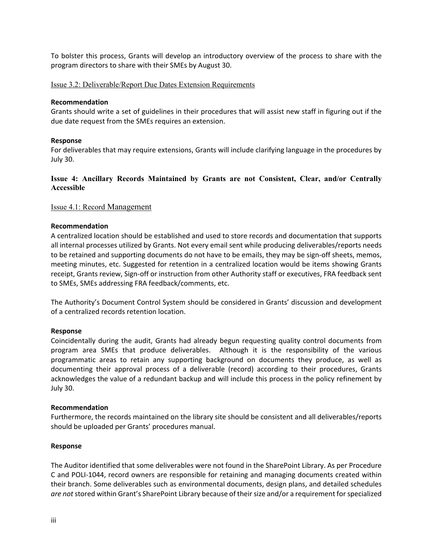To bolster this process, Grants will develop an introductory overview of the process to share with the program directors to share with their SMEs by August 30.

## Issue 3.2: Deliverable/Report Due Dates Extension Requirements

#### **Recommendation**

Grants should write a set of guidelines in their procedures that will assist new staff in figuring out if the due date request from the SMEs requires an extension.

## **Response**

For deliverables that may require extensions, Grants will include clarifying language in the procedures by July 30.

# **Issue 4: Ancillary Records Maintained by Grants are not Consistent, Clear, and/or Centrally Accessible**

## Issue 4.1: Record Management

## **Recommendation**

A centralized location should be established and used to store records and documentation that supports all internal processes utilized by Grants. Not every email sent while producing deliverables/reports needs to be retained and supporting documents do not have to be emails, they may be sign-off sheets, memos, meeting minutes, etc. Suggested for retention in a centralized location would be items showing Grants receipt, Grants review, Sign-off or instruction from other Authority staff or executives, FRA feedback sent to SMEs, SMEs addressing FRA feedback/comments, etc.

The Authority's Document Control System should be considered in Grants' discussion and development of a centralized records retention location.

#### **Response**

Coincidentally during the audit, Grants had already begun requesting quality control documents from program area SMEs that produce deliverables. Although it is the responsibility of the various programmatic areas to retain any supporting background on documents they produce, as well as documenting their approval process of a deliverable (record) according to their procedures, Grants acknowledges the value of a redundant backup and will include this process in the policy refinement by July 30.

#### **Recommendation**

Furthermore, the records maintained on the library site should be consistent and all deliverables/reports should be uploaded per Grants' procedures manual.

#### **Response**

The Auditor identified that some deliverables were not found in the SharePoint Library. As per Procedure C and POLI-1044, record owners are responsible for retaining and managing documents created within their branch. Some deliverables such as environmental documents, design plans, and detailed schedules *are not*stored within Grant's SharePoint Library because of their size and/or a requirement for specialized